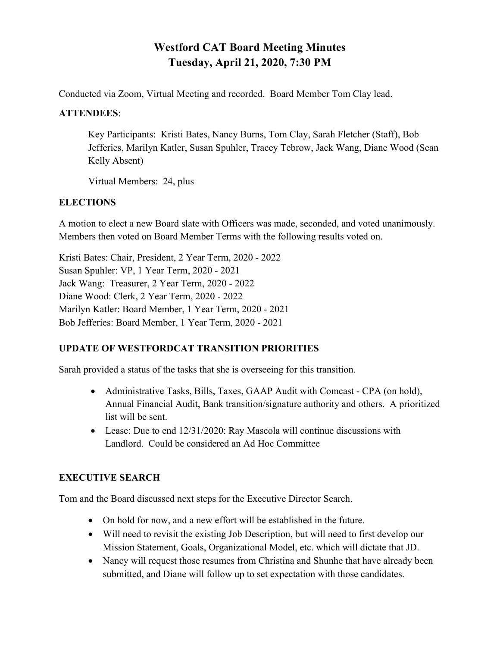# **Westford CAT Board Meeting Minutes Tuesday, April 21, 2020, 7:30 PM**

Conducted via Zoom, Virtual Meeting and recorded. Board Member Tom Clay lead.

### **ATTENDEES**:

Key Participants: Kristi Bates, Nancy Burns, Tom Clay, Sarah Fletcher (Staff), Bob Jefferies, Marilyn Katler, Susan Spuhler, Tracey Tebrow, Jack Wang, Diane Wood (Sean Kelly Absent)

Virtual Members: 24, plus

## **ELECTIONS**

A motion to elect a new Board slate with Officers was made, seconded, and voted unanimously. Members then voted on Board Member Terms with the following results voted on.

Kristi Bates: Chair, President, 2 Year Term, 2020 - 2022 Susan Spuhler: VP, 1 Year Term, 2020 - 2021 Jack Wang: Treasurer, 2 Year Term, 2020 - 2022 Diane Wood: Clerk, 2 Year Term, 2020 - 2022 Marilyn Katler: Board Member, 1 Year Term, 2020 - 2021 Bob Jefferies: Board Member, 1 Year Term, 2020 - 2021

## **UPDATE OF WESTFORDCAT TRANSITION PRIORITIES**

Sarah provided a status of the tasks that she is overseeing for this transition.

- Administrative Tasks, Bills, Taxes, GAAP Audit with Comcast CPA (on hold), Annual Financial Audit, Bank transition/signature authority and others. A prioritized list will be sent.
- Lease: Due to end 12/31/2020: Ray Mascola will continue discussions with Landlord. Could be considered an Ad Hoc Committee

## **EXECUTIVE SEARCH**

Tom and the Board discussed next steps for the Executive Director Search.

- On hold for now, and a new effort will be established in the future.
- Will need to revisit the existing Job Description, but will need to first develop our Mission Statement, Goals, Organizational Model, etc. which will dictate that JD.
- Nancy will request those resumes from Christina and Shunhe that have already been submitted, and Diane will follow up to set expectation with those candidates.